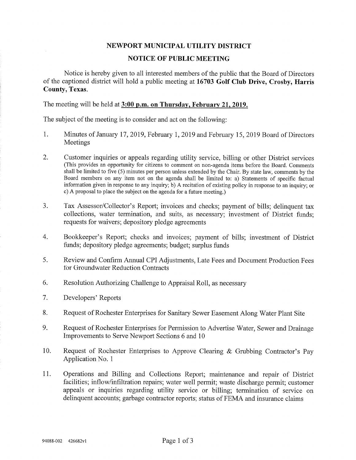## NEWPORT MUNICIPAL UTILITY DISTRICT

## NOTICE OF PUBLIC MEETING

Notice is hereby given to all interested members of the public that the Board of Directors of the captioned district will hold a public meeting at 16703 Golf Club Drive, Crosby, Harris County, Texas.

The meeting will be held at 3:00 p.m. on Thursday, February 21,2019.

The subject of the meeting is to consider and act on the following:

- 1. Minutes of January 17, 2019, February 1, 2019 and February 15, 2019 Board of Directors Meetings
- 2. Customer inquiries or appeals regarding utility service, billing or other District services (This provides an opportunity for citizens to comment on non-agenda items before the Board. Comments shall be limited to five (5) minutes per person unless extended by the Chair. By state law, comments by the Board members on any item not on the agenda shall be limited to: a) Statements of specific factual information given in response to any inquiry; b) A recitation of existmg policy in response to an inquiry; or c) A proposal to place the subject on the agenda for a future meeting.)
- 3. Tax Assessor/Collector's Report; invoices and checks; payment of bills; delinquent tax collections, water termination, and suits, as necessary; investment of District funds; requests for waivers; depository pledge agreements
- 4. Bookkeeper's Report; checks and invoices; payment of bills; investment of District funds; depository pledge agreements; budget; surplus funds
- 5. Review and Confirm Annual CPI Adjustments, Late Fees and Document Production Fees for Groundwater Reduction Contracts
- 6. Resolution Authorizing Challenge to Appraisal Roll, as necessary
- 7. Developers' Reports
- 8. Request of Rochester Enterprises for Sanitary Sewer Easement Along Water Plant Site
- 9. Request of Rochester Enterprises for Permission to Advertise Water, Sewer and Drainage Improvements to Serve Newport Sections 6 and 10
- 10. Request of Rochester Enterprises to Approve Clearing & Grubbing Contractor's Pay Application No. 1
- 11. Operations and Billing and Collections Report; maintenance and repair of District facilities; inflow/infiltration repairs; water well permit; waste discharge permit; customer appeals or inquiries regarding utility service or billing; termination of service on delinquent accounts; garbage contractor reports; status of FEMA and insurance claims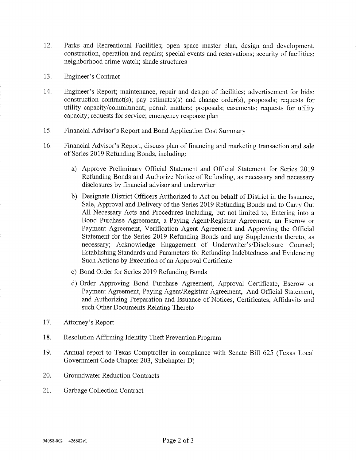- 12. Parks and Recreational Facilities; open space master plan, design and development, construction, operation and repairs; special events and reservations; security of facilities; neighborhood crime watch; shade structures
- 13. Engineer's Contract
- 14. Engineer's Report; maintenance, repair and design of facilities; advertisement for bids; construction contract(s); pay estimates(s) and change order(s); proposals; requests for utility capacity/commitment; permit matters; proposals; easements; requests for utility capacity; requests for service; emergency response plan
- 15. Financial Advisor's Report and Bond Application Cost Summary
- 16. Financial Advisor's Report; discuss plan of financing and marketing transaction and sale of Series 2019 Refunding Bonds, including:
	- a) Approve Preliminary Official Statement and Official Statement for Series 2019 Refunding Bonds and Authorize Notice of Refunding, as necessary and necessary disclosures by financial advisor and underwriter
	- b) Designate District Officers Authorized to Act on behalf of District in the Issuance, Sale, Approval and Delivery of the Series 2019 Refunding Bonds and to Carry Out All Necessary Acts and Procedures Including, but not limited to, Entering into a Bond Purchase Agreement, a Paying Agent/Registrar Agreement, an Escrow or Payment Agreement, Verification Agent Agreement and Approving the Official Statement for the Series 2019 Refunding Bonds and any Supplements thereto, as necessary; Acknowledge Engagement of Underwriter's/Disclosure Counsel; Establishing Standards and Parameters for Refunding Indebtedness and Evidencing Such Actions by Execution of an Approval Certificate
	- c) Bond Order for Series 2019 Refunding Bonds
	- d) Order Approving Bond Purchase Agreement, Approval Certificate, Escrow or Payment Agreement, Paying Agent/Registrar Agreement, And Official Statement, and Authorizing Preparation and Issuance of Notices, Certificates, Affidavits and such Other Documents Relating Thereto
- 17. Attorney's Report
- 18. Resolution Affirming Identity Theft Prevention Program
- 19. Annual report to Texas Comptroller in compliance with Senate Bill 625 (Texas Local Government Code Chapter 203, Subchapter D)
- 20. Groundwater Reduction Contracts
- 21. Garbage Collection Contract